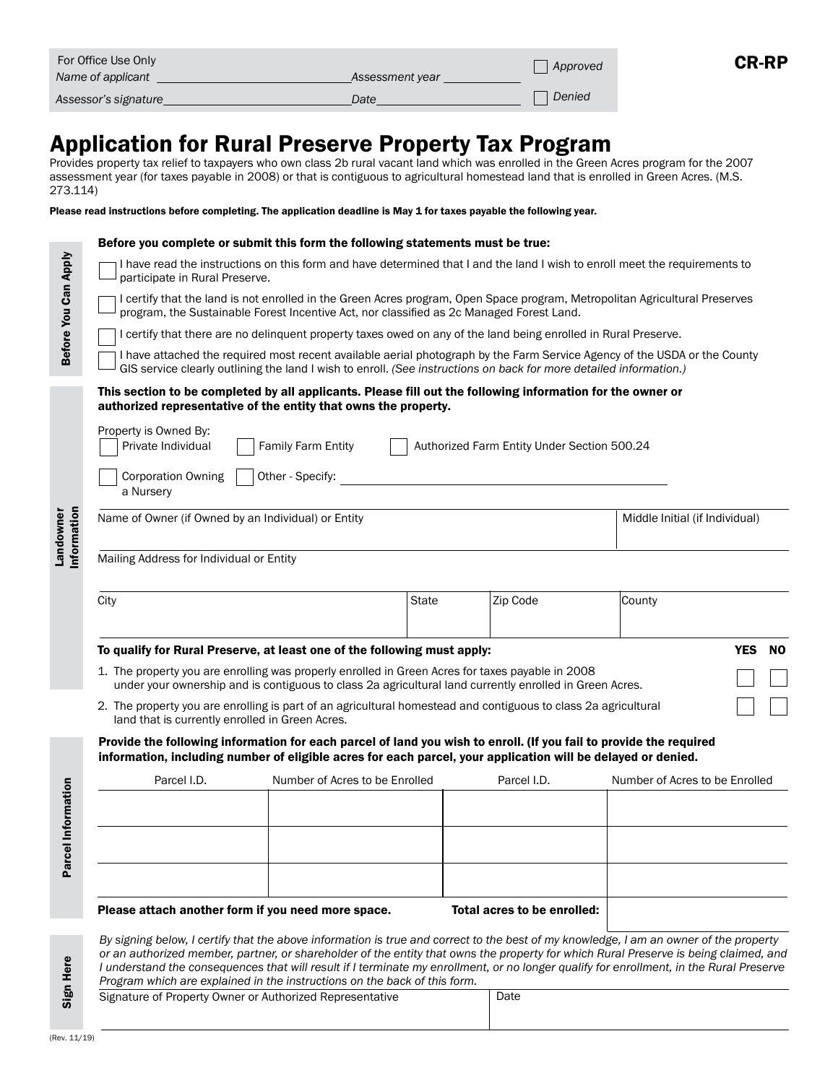| For Office Use Only  |                 | Approved | <b>CR-RP</b> |
|----------------------|-----------------|----------|--------------|
| Name of applicant    | Assessment year |          |              |
| Assessor's signature | Date            | Denied   |              |

# Application for Rural Preserve Property Tax Program

Provides property tax relief to taxpayers who own class 2b rural vacant land which was enrolled in the Green Acres program for the 2007 assessment year (for taxes payable in 2008) or that is contiguous to agricultural homestead land that is enrolled in Green Acres. (M.S. 273.114)

Please read instructions before completing. The application deadline is May 1 for taxes payable the following year.

|                         | Before you complete or submit this form the following statements must be true:                                                                                                                                                                                                                                                                                                                                                                                                                        |                                |              |                                |                                |  |  |  |  |
|-------------------------|-------------------------------------------------------------------------------------------------------------------------------------------------------------------------------------------------------------------------------------------------------------------------------------------------------------------------------------------------------------------------------------------------------------------------------------------------------------------------------------------------------|--------------------------------|--------------|--------------------------------|--------------------------------|--|--|--|--|
| Before You Can Apply    | I have read the instructions on this form and have determined that I and the land I wish to enroll meet the requirements to<br>participate in Rural Preserve.                                                                                                                                                                                                                                                                                                                                         |                                |              |                                |                                |  |  |  |  |
|                         | I certify that the land is not enrolled in the Green Acres program, Open Space program, Metropolitan Agricultural Preserves<br>program, the Sustainable Forest Incentive Act, nor classified as 2c Managed Forest Land.                                                                                                                                                                                                                                                                               |                                |              |                                |                                |  |  |  |  |
|                         | I certify that there are no delinguent property taxes owed on any of the land being enrolled in Rural Preserve.                                                                                                                                                                                                                                                                                                                                                                                       |                                |              |                                |                                |  |  |  |  |
|                         | I have attached the required most recent available aerial photograph by the Farm Service Agency of the USDA or the County<br>GIS service clearly outlining the land I wish to enroll. (See instructions on back for more detailed information.)                                                                                                                                                                                                                                                       |                                |              |                                |                                |  |  |  |  |
|                         | This section to be completed by all applicants. Please fill out the following information for the owner or<br>authorized representative of the entity that owns the property.                                                                                                                                                                                                                                                                                                                         |                                |              |                                |                                |  |  |  |  |
|                         | Property is Owned By:<br>Family Farm Entity<br>Authorized Farm Entity Under Section 500.24<br>Private Individual                                                                                                                                                                                                                                                                                                                                                                                      |                                |              |                                |                                |  |  |  |  |
| nformation<br>Landowner | Other - Specify:<br><b>Corporation Owning</b><br>a Nursery                                                                                                                                                                                                                                                                                                                                                                                                                                            |                                |              |                                |                                |  |  |  |  |
|                         | Name of Owner (if Owned by an Individual) or Entity                                                                                                                                                                                                                                                                                                                                                                                                                                                   |                                |              | Middle Initial (if Individual) |                                |  |  |  |  |
|                         | Mailing Address for Individual or Entity                                                                                                                                                                                                                                                                                                                                                                                                                                                              |                                |              |                                |                                |  |  |  |  |
|                         | City                                                                                                                                                                                                                                                                                                                                                                                                                                                                                                  |                                | <b>State</b> | Zip Code                       | County                         |  |  |  |  |
|                         | <b>YES</b><br>To qualify for Rural Preserve, at least one of the following must apply:<br><b>NO</b>                                                                                                                                                                                                                                                                                                                                                                                                   |                                |              |                                |                                |  |  |  |  |
|                         | 1. The property you are enrolling was properly enrolled in Green Acres for taxes payable in 2008<br>under your ownership and is contiguous to class 2a agricultural land currently enrolled in Green Acres.                                                                                                                                                                                                                                                                                           |                                |              |                                |                                |  |  |  |  |
|                         | 2. The property you are enrolling is part of an agricultural homestead and contiguous to class 2a agricultural<br>land that is currently enrolled in Green Acres.                                                                                                                                                                                                                                                                                                                                     |                                |              |                                |                                |  |  |  |  |
|                         | Provide the following information for each parcel of land you wish to enroll. (If you fail to provide the required<br>information, including number of eligible acres for each parcel, your application will be delayed or denied.                                                                                                                                                                                                                                                                    |                                |              |                                |                                |  |  |  |  |
|                         | Parcel I.D.                                                                                                                                                                                                                                                                                                                                                                                                                                                                                           | Number of Acres to be Enrolled |              | Parcel I.D.                    | Number of Acres to be Enrolled |  |  |  |  |
| Information             |                                                                                                                                                                                                                                                                                                                                                                                                                                                                                                       |                                |              |                                |                                |  |  |  |  |
|                         |                                                                                                                                                                                                                                                                                                                                                                                                                                                                                                       |                                |              |                                |                                |  |  |  |  |
|                         |                                                                                                                                                                                                                                                                                                                                                                                                                                                                                                       |                                |              |                                |                                |  |  |  |  |
| Parcel                  |                                                                                                                                                                                                                                                                                                                                                                                                                                                                                                       |                                |              |                                |                                |  |  |  |  |
|                         | Please attach another form if you need more space.                                                                                                                                                                                                                                                                                                                                                                                                                                                    |                                |              | Total acres to be enrolled:    |                                |  |  |  |  |
| Sign Here               | By signing below, I certify that the above information is true and correct to the best of my knowledge, I am an owner of the property<br>or an authorized member, partner, or shareholder of the entity that owns the property for which Rural Preserve is being claimed, and<br>I understand the consequences that will result if I terminate my enrollment, or no longer qualify for enrollment, in the Rural Preserve<br>Program which are explained in the instructions on the back of this form. |                                |              |                                |                                |  |  |  |  |
|                         | Signature of Property Owner or Authorized Representative                                                                                                                                                                                                                                                                                                                                                                                                                                              |                                |              | Date                           |                                |  |  |  |  |